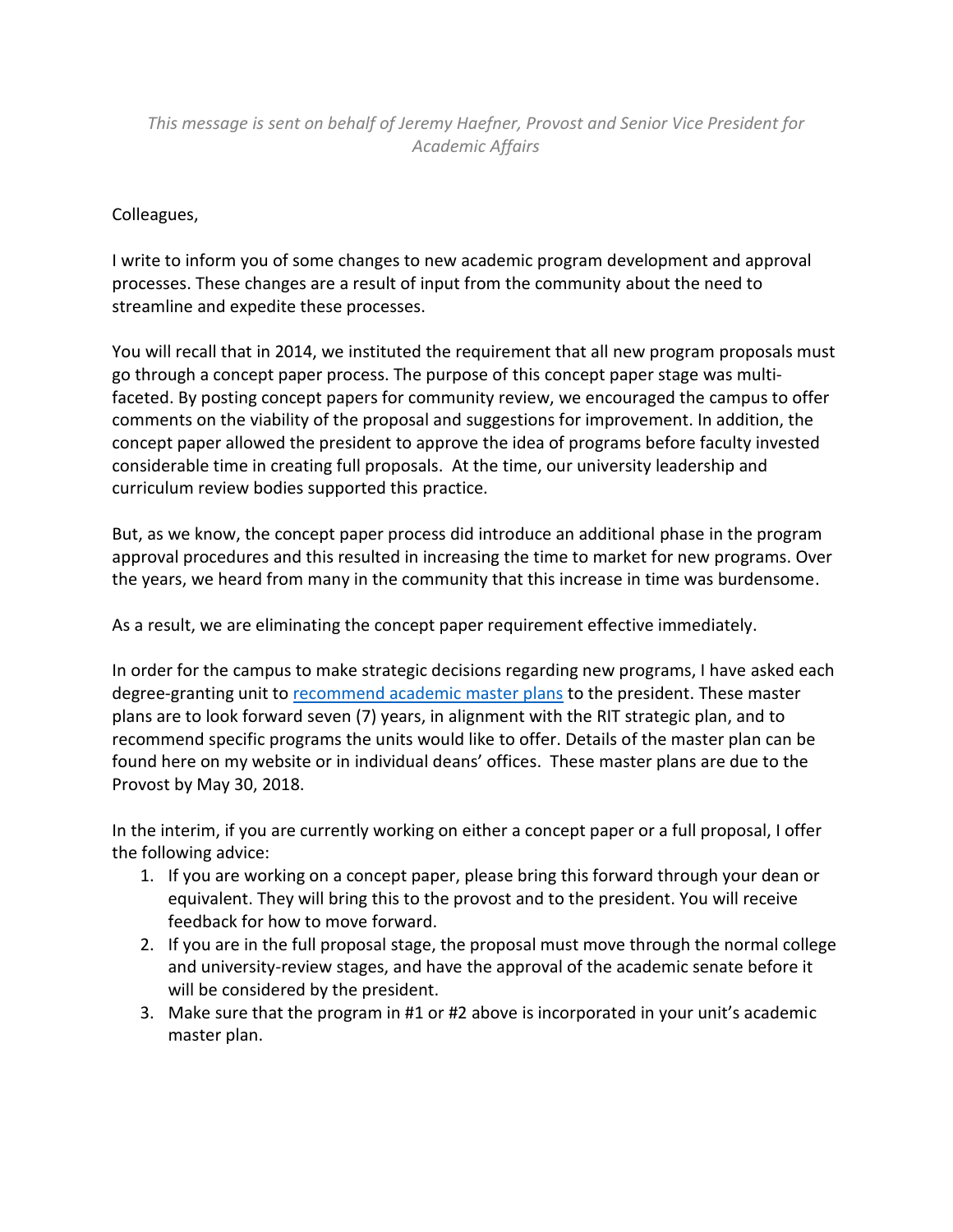## *This message is sent on behalf of Jeremy Haefner, Provost and Senior Vice President for Academic Affairs*

## Colleagues,

I write to inform you of some changes to new academic program development and approval processes. These changes are a result of input from the community about the need to streamline and expedite these processes.

You will recall that in 2014, we instituted the requirement that all new program proposals must go through a concept paper process. The purpose of this concept paper stage was multifaceted. By posting concept papers for community review, we encouraged the campus to offer comments on the viability of the proposal and suggestions for improvement. In addition, the concept paper allowed the president to approve the idea of programs before faculty invested considerable time in creating full proposals. At the time, our university leadership and curriculum review bodies supported this practice.

But, as we know, the concept paper process did introduce an additional phase in the program approval procedures and this resulted in increasing the time to market for new programs. Over the years, we heard from many in the community that this increase in time was burdensome.

As a result, we are eliminating the concept paper requirement effective immediately.

In order for the campus to make strategic decisions regarding new programs, I have asked each degree-granting unit to [recommend academic master plans](https://www.rit.edu/academicaffairs/sites/rit.edu.academicaffairs/files/memos/1.25.18%20Program%20Review%20Msg.pdf) to the president. These master plans are to look forward seven (7) years, in alignment with the RIT strategic plan, and to recommend specific programs the units would like to offer. Details of the master plan can be found here on my website or in individual deans' offices. These master plans are due to the Provost by May 30, 2018.

In the interim, if you are currently working on either a concept paper or a full proposal, I offer the following advice:

- 1. If you are working on a concept paper, please bring this forward through your dean or equivalent. They will bring this to the provost and to the president. You will receive feedback for how to move forward.
- 2. If you are in the full proposal stage, the proposal must move through the normal college and university-review stages, and have the approval of the academic senate before it will be considered by the president.
- 3. Make sure that the program in #1 or #2 above is incorporated in your unit's academic master plan.